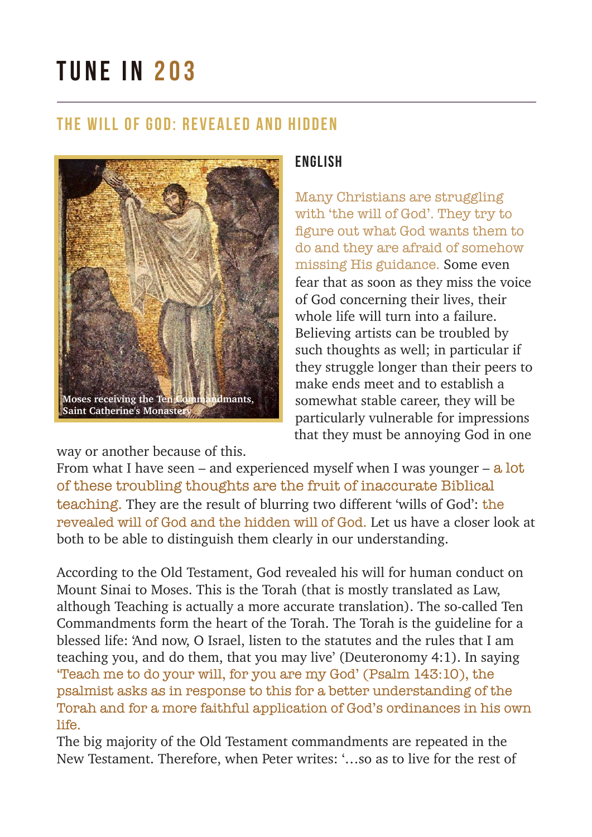# TUNE IN 203

### The will of God: revealed and hidden



### ENGLISH

Many Christians are struggling with 'the will of God'. They try to figure out what God wants them to do and they are afraid of somehow missing His guidance. Some even fear that as soon as they miss the voice of God concerning their lives, their whole life will turn into a failure. Believing artists can be troubled by such thoughts as well; in particular if they struggle longer than their peers to make ends meet and to establish a somewhat stable career, they will be particularly vulnerable for impressions that they must be annoying God in one

way or another because of this.

From what I have seen – and experienced myself when I was younger –  $a$  lot of these troubling thoughts are the fruit of inaccurate Biblical teaching. They are the result of blurring two different 'wills of God': the revealed will of God and the hidden will of God. Let us have a closer look at both to be able to distinguish them clearly in our understanding.

According to the Old Testament, God revealed his will for human conduct on Mount Sinai to Moses. This is the Torah (that is mostly translated as Law, although Teaching is actually a more accurate translation). The so-called Ten Commandments form the heart of the Torah. The Torah is the guideline for a blessed life: 'And now, O Israel, listen to the statutes and the rules that I am teaching you, and do them, that you may live' (Deuteronomy 4:1). In saying 'Teach me to do your will, for you are my God' (Psalm 143:10), the psalmist asks as in response to this for a better understanding of the Torah and for a more faithful application of God's ordinances in his own life.

The big majority of the Old Testament commandments are repeated in the New Testament. Therefore, when Peter writes: '…so as to live for the rest of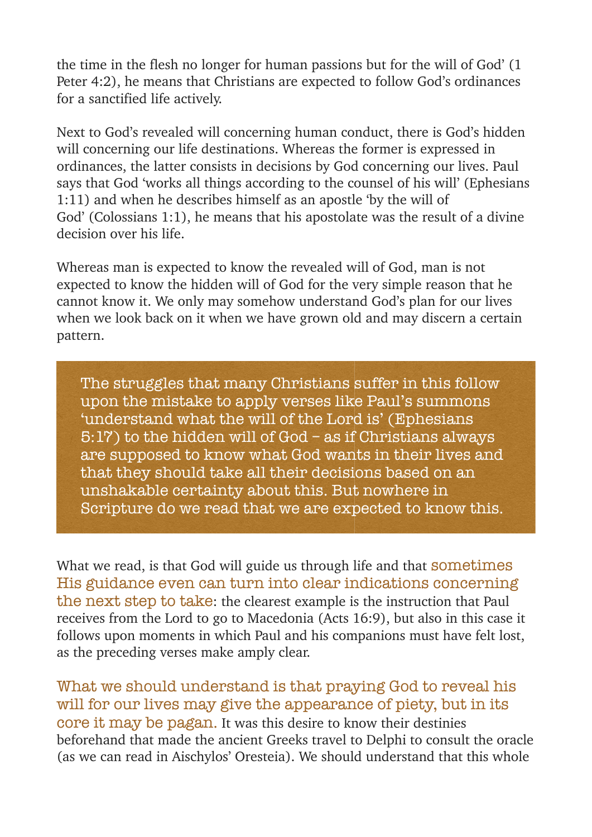the time in the flesh no longer for human passions but for the will of God' (1 Peter 4:2), he means that Christians are expected to follow God's ordinances for a sanctified life actively.

Next to God's revealed will concerning human conduct, there is God's hidden will concerning our life destinations. Whereas the former is expressed in ordinances, the latter consists in decisions by God concerning our lives. Paul says that God 'works all things according to the counsel of his will' (Ephesians 1:11) and when he describes himself as an apostle 'by the will of God' (Colossians 1:1), he means that his apostolate was the result of a divine decision over his life.

Whereas man is expected to know the revealed will of God, man is not expected to know the hidden will of God for the very simple reason that he cannot know it. We only may somehow understand God's plan for our lives when we look back on it when we have grown old and may discern a certain pattern.

The struggles that many Christians suffer in this follow upon the mistake to apply verses like Paul's summons 'understand what the will of the Lord is' (Ephesians 5:17) to the hidden will of God – as if Christians always are supposed to know what God wants in their lives and that they should take all their decisions based on an unshakable certainty about this. But nowhere in Scripture do we read that we are expected to know this.

What we read, is that God will guide us through life and that **sometimes** His guidance even can turn into clear indications concerning the next step to take: the clearest example is the instruction that Paul receives from the Lord to go to Macedonia (Acts 16:9), but also in this case it follows upon moments in which Paul and his companions must have felt lost, as the preceding verses make amply clear.

What we should understand is that praying God to reveal his will for our lives may give the appearance of piety, but in its core it may be pagan. It was this desire to know their destinies beforehand that made the ancient Greeks travel to Delphi to consult the oracle (as we can read in Aischylos' Oresteia). We should understand that this whole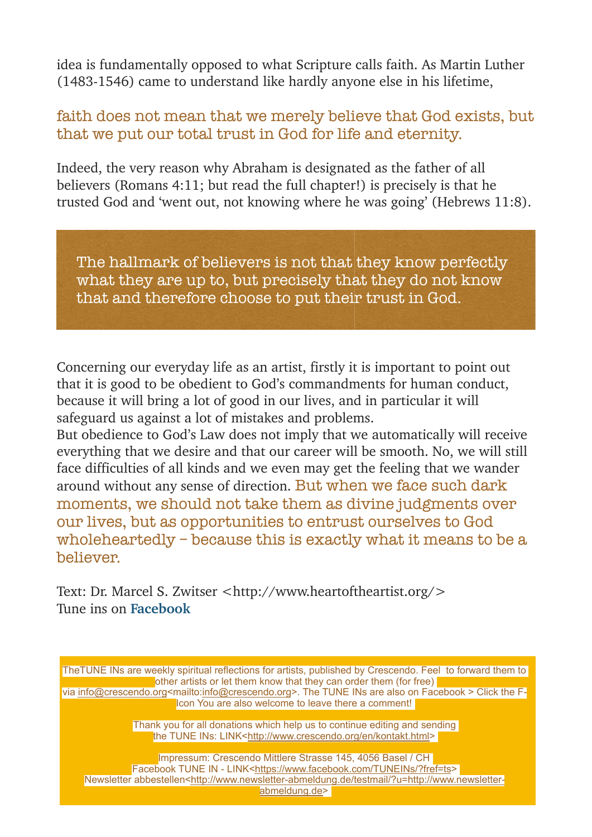idea is fundamentally opposed to what Scripture calls faith. As Martin Luther (1483-1546) came to understand like hardly anyone else in his lifetime,

### faith does not mean that we merely believe that God exists, but that we put our total trust in God for life and eternity.

Indeed, the very reason why Abraham is designated as the father of all believers (Romans 4:11; but read the full chapter!) is precisely is that he trusted God and 'went out, not knowing where he was going' (Hebrews 11:8).

The hallmark of believers is not that they know perfectly what they are up to, but precisely that they do not know that and therefore choose to put their trust in God.

Concerning our everyday life as an artist, firstly it is important to point out that it is good to be obedient to God's commandments for human conduct, because it will bring a lot of good in our lives, and in particular it will safeguard us against a lot of mistakes and problems.

But obedience to God's Law does not imply that we automatically will receive everything that we desire and that our career will be smooth. No, we will still face difficulties of all kinds and we even may get the feeling that we wander around without any sense of direction. But when we face such dark moments, we should not take them as divine judgments over our lives, but as opportunities to entrust ourselves to God wholeheartedly – because this is exactly what it means to be a believer.

Text: Dr. Marcel S. Zwitser [<http://www.heartoftheartist.org/](http://www.heartoftheartist.org/)> Tune ins on **[Facebook](https://www.facebook.com/TUNEINs/?fref=ts)**

TheTUNE INs are weekly spiritual reflections for artists, published by Crescendo. Feel to forward them to other artists or let them know that they can order them (for free) via [info@crescendo.org](mailto:info@crescendo.org)<mailto[:info@crescendo.org](mailto:info@crescendo.org)>. The TUNE INs are also on Facebook > Click the F-Icon You are also welcome to leave there a comment!

> Thank you for all donations which help us to continue editing and sending the TUNE INs: LINK[<http://www.crescendo.org/en/kontakt.html>](http://www.crescendo.org/en/kontakt.html)

Impressum: Crescendo Mittlere Strasse 145, 4056 Basel / CH Facebook TUNE IN - LINK[<https://www.facebook.com/TUNEINs/?fref=ts](https://www.facebook.com/TUNEINs/?fref=ts)> Newsletter abbestellen[<http://www.newsletter-abmeldung.de/testmail/?u=http://www.newsletter](http://www.newsletter-abmeldung.de/testmail/?u=http://www.newsletter-abmeldung.de)[abmeldung.de>](http://www.newsletter-abmeldung.de/testmail/?u=http://www.newsletter-abmeldung.de)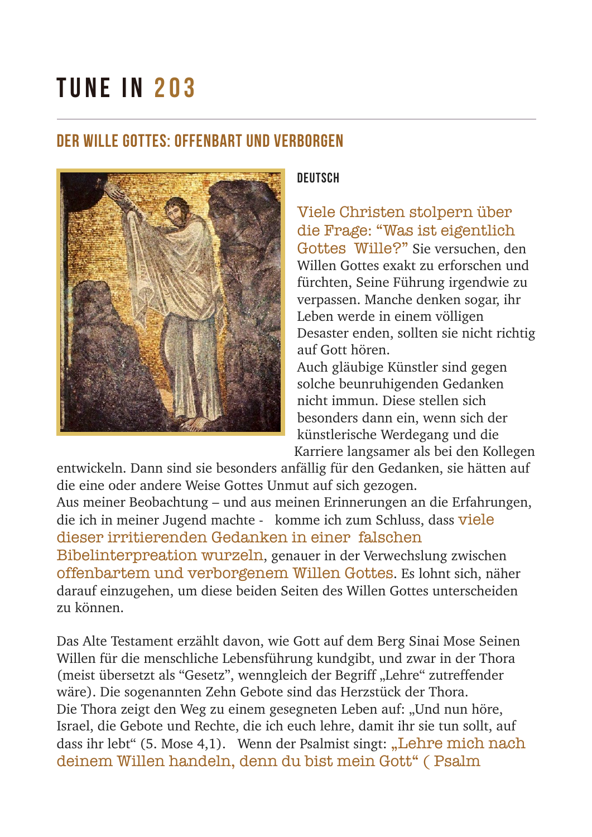## TUNE IN 203

## Der Wille Gottes: offenbart und verborgen



#### **DEUTSCH**

Viele Christen stolpern über die Frage: "Was ist eigentlich Gottes Wille?" Sie versuchen, den Willen Gottes exakt zu erforschen und fürchten, Seine Führung irgendwie zu verpassen. Manche denken sogar, ihr Leben werde in einem völligen Desaster enden, sollten sie nicht richtig auf Gott hören.

Auch gläubige Künstler sind gegen solche beunruhigenden Gedanken nicht immun. Diese stellen sich besonders dann ein, wenn sich der künstlerische Werdegang und die Karriere langsamer als bei den Kollegen

entwickeln. Dann sind sie besonders anfällig für den Gedanken, sie hätten auf die eine oder andere Weise Gottes Unmut auf sich gezogen. Aus meiner Beobachtung – und aus meinen Erinnerungen an die Erfahrungen, die ich in meiner Jugend machte - komme ich zum Schluss, dass viele dieser irritierenden Gedanken in einer falschen Bibelinterpreation wurzeln, genauer in der Verwechslung zwischen offenbartem und verborgenem Willen Gottes. Es lohnt sich, näher darauf einzugehen, um diese beiden Seiten des Willen Gottes unterscheiden zu können.

Das Alte Testament erzählt davon, wie Gott auf dem Berg Sinai Mose Seinen Willen für die menschliche Lebensführung kundgibt, und zwar in der Thora (meist übersetzt als "Gesetz", wenngleich der Begriff "Lehre" zutreffender wäre). Die sogenannten Zehn Gebote sind das Herzstück der Thora. Die Thora zeigt den Weg zu einem gesegneten Leben auf: "Und nun höre, Israel, die Gebote und Rechte, die ich euch lehre, damit ihr sie tun sollt, auf dass ihr lebt" (5. Mose 4,1). Wenn der Psalmist singt: "Lehre mich nach deinem Willen handeln, denn du bist mein Gott" ( Psalm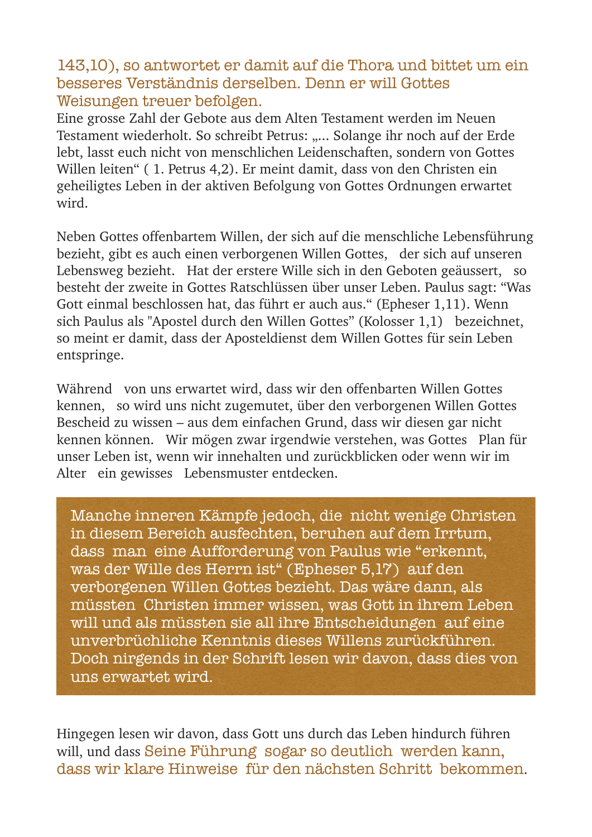### 143,10), so antwortet er damit auf die Thora und bittet um ein besseres Verständnis derselben. Denn er will Gottes Weisungen treuer befolgen.

Eine grosse Zahl der Gebote aus dem Alten Testament werden im Neuen Testament wiederholt. So schreibt Petrus: ..... Solange ihr noch auf der Erde lebt, lasst euch nicht von menschlichen Leidenschaften, sondern von Gottes Willen leiten" ( 1. Petrus 4,2). Er meint damit, dass von den Christen ein geheiligtes Leben in der aktiven Befolgung von Gottes Ordnungen erwartet wird.

Neben Gottes offenbartem Willen, der sich auf die menschliche Lebensführung bezieht, gibt es auch einen verborgenen Willen Gottes, der sich auf unseren Lebensweg bezieht. Hat der erstere Wille sich in den Geboten geäussert, so besteht der zweite in Gottes Ratschlüssen über unser Leben. Paulus sagt: "Was Gott einmal beschlossen hat, das führt er auch aus." (Epheser 1,11). Wenn sich Paulus als "Apostel durch den Willen Gottes" (Kolosser 1,1) bezeichnet, so meint er damit, dass der Aposteldienst dem Willen Gottes für sein Leben entspringe.

Während von uns erwartet wird, dass wir den offenbarten Willen Gottes kennen, so wird uns nicht zugemutet, über den verborgenen Willen Gottes Bescheid zu wissen – aus dem einfachen Grund, dass wir diesen gar nicht kennen können. Wir mögen zwar irgendwie verstehen, was Gottes Plan für unser Leben ist, wenn wir innehalten und zurückblicken oder wenn wir im Alter ein gewisses Lebensmuster entdecken.

Manche inneren Kämpfe jedoch, die nicht wenige Christen in diesem Bereich ausfechten, beruhen auf dem Irrtum, dass man eine Aufforderung von Paulus wie "erkennt, was der Wille des Herrn ist" (Epheser 5,17) auf den verborgenen Willen Gottes bezieht. Das wäre dann, als müssten Christen immer wissen, was Gott in ihrem Leben will und als müssten sie all ihre Entscheidungen auf eine unverbrüchliche Kenntnis dieses Willens zurückführen. Doch nirgends in der Schrift lesen wir davon, dass dies von uns erwartet wird.

Hingegen lesen wir davon, dass Gott uns durch das Leben hindurch führen will, und dass Seine Führung sogar so deutlich werden kann, dass wir klare Hinweise für den nächsten Schritt bekommen.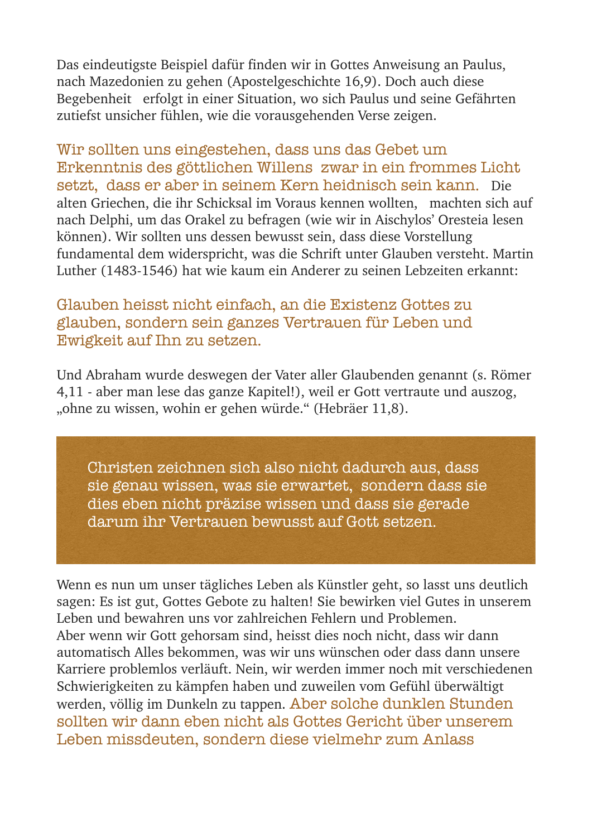Das eindeutigste Beispiel dafür finden wir in Gottes Anweisung an Paulus, nach Mazedonien zu gehen (Apostelgeschichte 16,9). Doch auch diese Begebenheit erfolgt in einer Situation, wo sich Paulus und seine Gefährten zutiefst unsicher fühlen, wie die vorausgehenden Verse zeigen.

Wir sollten uns eingestehen, dass uns das Gebet um Erkenntnis des göttlichen Willens zwar in ein frommes Licht setzt, dass er aber in seinem Kern heidnisch sein kann. Die alten Griechen, die ihr Schicksal im Voraus kennen wollten, machten sich auf nach Delphi, um das Orakel zu befragen (wie wir in Aischylos' Oresteia lesen können). Wir sollten uns dessen bewusst sein, dass diese Vorstellung fundamental dem widerspricht, was die Schrift unter Glauben versteht. Martin Luther (1483-1546) hat wie kaum ein Anderer zu seinen Lebzeiten erkannt:

### Glauben heisst nicht einfach, an die Existenz Gottes zu glauben, sondern sein ganzes Vertrauen für Leben und Ewigkeit auf Ihn zu setzen.

Und Abraham wurde deswegen der Vater aller Glaubenden genannt (s. Römer 4,11 - aber man lese das ganze Kapitel!), weil er Gott vertraute und auszog, "ohne zu wissen, wohin er gehen würde." (Hebräer 11,8).

Christen zeichnen sich also nicht dadurch aus, dass sie genau wissen, was sie erwartet, sondern dass sie dies eben nicht präzise wissen und dass sie gerade darum ihr Vertrauen bewusst auf Gott setzen.

Wenn es nun um unser tägliches Leben als Künstler geht, so lasst uns deutlich sagen: Es ist gut, Gottes Gebote zu halten! Sie bewirken viel Gutes in unserem Leben und bewahren uns vor zahlreichen Fehlern und Problemen. Aber wenn wir Gott gehorsam sind, heisst dies noch nicht, dass wir dann automatisch Alles bekommen, was wir uns wünschen oder dass dann unsere Karriere problemlos verläuft. Nein, wir werden immer noch mit verschiedenen Schwierigkeiten zu kämpfen haben und zuweilen vom Gefühl überwältigt werden, völlig im Dunkeln zu tappen. Aber solche dunklen Stunden sollten wir dann eben nicht als Gottes Gericht über unserem Leben missdeuten, sondern diese vielmehr zum Anlass